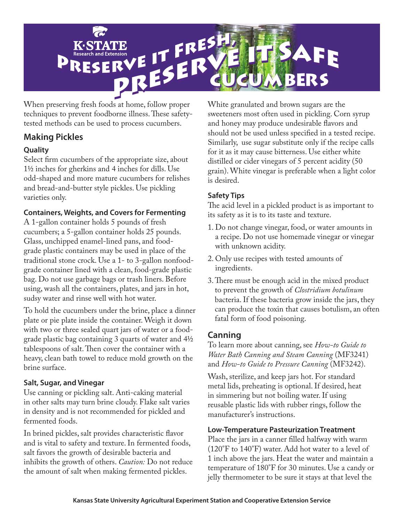

When preserving fresh foods at home, follow proper techniques to prevent foodborne illness. These safetytested methods can be used to process cucumbers.

# **Making Pickles**

### **Quality**

Select firm cucumbers of the appropriate size, about 11/2 inches for gherkins and 4 inches for dills. Use odd-shaped and more mature cucumbers for relishes and bread-and-butter style pickles. Use pickling varieties only.

### **Containers, Weights, and Covers for Fermenting**

A 1-gallon container holds 5 pounds of fresh cucumbers; a 5-gallon container holds 25 pounds. Glass, unchipped enamel-lined pans, and foodgrade plastic containers may be used in place of the traditional stone crock. Use a 1- to 3-gallon nonfoodgrade container lined with a clean, food-grade plastic bag. Do not use garbage bags or trash liners. Before using, wash all the containers, plates, and jars in hot, sudsy water and rinse well with hot water.

To hold the cucumbers under the brine, place a dinner plate or pie plate inside the container. Weigh it down with two or three sealed quart jars of water or a foodgrade plastic bag containing 3 quarts of water and 41/2 tablespoons of salt. Then cover the container with a heavy, clean bath towel to reduce mold growth on the brine surface.

### **Salt, Sugar, and Vinegar**

Use canning or pickling salt. Anti-caking material in other salts may turn brine cloudy. Flake salt varies in density and is not recommended for pickled and fermented foods.

In brined pickles, salt provides characteristic flavor and is vital to safety and texture. In fermented foods, salt favors the growth of desirable bacteria and inhibits the growth of others. *Caution:* Do not reduce the amount of salt when making fermented pickles.

White granulated and brown sugars are the sweeteners most often used in pickling. Corn syrup and honey may produce undesirable flavors and should not be used unless specified in a tested recipe. Similarly, use sugar substitute only if the recipe calls for it as it may cause bitterness. Use either white distilled or cider vinegars of 5 percent acidity (50 grain). White vinegar is preferable when a light color is desired.

### **Safety Tips**

The acid level in a pickled product is as important to its safety as it is to its taste and texture.

- 1. Do not change vinegar, food, or water amounts in a recipe. Do not use homemade vinegar or vinegar with unknown acidity.
- 2. Only use recipes with tested amounts of ingredients.
- 3. There must be enough acid in the mixed product to prevent the growth of *Clostridium botulinum* bacteria. If these bacteria grow inside the jars, they can produce the toxin that causes botulism, an often fatal form of food poisoning.

# **Canning**

To learn more about canning, see *How-to Guide to Water Bath Canning and Steam Canning* (MF3241) and *How-to Guide to Pressure Canning* (MF3242).

Wash, sterilize, and keep jars hot. For standard metal lids, preheating is optional. If desired, heat in simmering but not boiling water. If using reusable plastic lids with rubber rings, follow the manufacturer's instructions.

### **Low-Temperature Pasteurization Treatment**

Place the jars in a canner filled halfway with warm (120°F to 140°F) water. Add hot water to a level of 1 inch above the jars. Heat the water and maintain a temperature of 180°F for 30 minutes. Use a candy or jelly thermometer to be sure it stays at that level the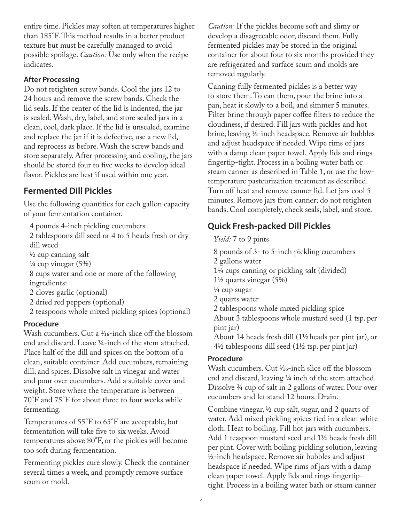entire time. Pickles may soften at temperatures higher than 185°F. This method results in a better product texture but must be carefully managed to avoid possible spoilage. *Caution:* Use only when the recipe indicates.

### **After Processing**

Do not retighten screw bands. Cool the jars 12 to 24 hours and remove the screw bands. Check the lid seals. If the center of the lid is indented, the jar is sealed. Wash, dry, label, and store sealed jars in a clean, cool, dark place. If the lid is unsealed, examine and replace the jar if it is defective, use a new lid, and reprocess as before. Wash the screw bands and store separately. After processing and cooling, the jars should be stored four to five weeks to develop ideal flavor. Pickles are best if used within one year.

# **Fermented Dill Pickles**

Use the following quantities for each gallon capacity of your fermentation container.

4 pounds 4-inch pickling cucumbers

2 tablespoons dill seed or 4 to 5 heads fresh or dry dill weed

 $\frac{1}{2}$  cup canning salt

 $\frac{1}{4}$  cup vinegar  $(5\%)$ 

8 cups water and one or more of the following ingredients:

- 2 cloves garlic (optional)
- 2 dried red peppers (optional)
- 2 teaspoons whole mixed pickling spices (optional)

### **Procedure**

Wash cucumbers. Cut a 1/16-inch slice off the blossom end and discard. Leave 1/4-inch of the stem attached. Place half of the dill and spices on the bottom of a clean, suitable container. Add cucumbers, remaining dill, and spices. Dissolve salt in vinegar and water and pour over cucumbers. Add a suitable cover and weight. Store where the temperature is between 70°F and 75°F for about three to four weeks while fermenting.

Temperatures of 55°F to 65°F are acceptable, but fermentation will take five to six weeks. Avoid temperatures above 80°F, or the pickles will become too soft during fermentation.

Fermenting pickles cure slowly. Check the container several times a week, and promptly remove surface scum or mold.

*Caution:* If the pickles become soft and slimy or develop a disagreeable odor, discard them. Fully fermented pickles may be stored in the original container for about four to six months provided they are refrigerated and surface scum and molds are removed regularly.

Canning fully fermented pickles is a better way to store them. To can them, pour the brine into a pan, heat it slowly to a boil, and simmer 5 minutes. Filter brine through paper coffee filters to reduce the cloudiness, if desired. Fill jars with pickles and hot brine, leaving 1/2-inch headspace. Remove air bubbles and adjust headspace if needed. Wipe rims of jars with a damp clean paper towel. Apply lids and rings fingertip-tight. Process in a boiling water bath or steam canner as described in Table 1, or use the lowtemperature pasteurization treatment as described. Turn off heat and remove canner lid. Let jars cool 5 minutes. Remove jars from canner; do not retighten bands. Cool completely, check seals, label, and store.

## **Quick Fresh-packed Dill Pickles**

*Yield:* 7 to 9 pints

- 8 pounds of 3- to 5-inch pickling cucumbers
- 2 gallons water
- 11/4 cups canning or pickling salt (divided)
- $1\frac{1}{2}$  quarts vinegar  $(5\%)$
- 1/4 cup sugar
- 2 quarts water
- 2 tablespoons whole mixed pickling spice

About 3 tablespoons whole mustard seed (1 tsp. per pint jar)

About 14 heads fresh dill (11/2 heads per pint jar), or  $4\frac{1}{2}$  tablespoons dill seed (1<sup>1</sup>/<sub>2</sub> tsp. per pint jar)

### **Procedure**

Wash cucumbers. Cut 1/16-inch slice off the blossom end and discard, leaving 1/4 inch of the stem attached. Dissolve 3/4 cup of salt in 2 gallons of water. Pour over cucumbers and let stand 12 hours. Drain.

Combine vinegar,  $\frac{1}{2}$  cup salt, sugar, and 2 quarts of water. Add mixed pickling spices tied in a clean white cloth. Heat to boiling. Fill hot jars with cucumbers. Add 1 teaspoon mustard seed and 1<sup>1</sup>/<sub>2</sub> heads fresh dill per pint. Cover with boiling pickling solution, leaving <sup>1</sup>/2-inch headspace. Remove air bubbles and adjust headspace if needed. Wipe rims of jars with a damp clean paper towel. Apply lids and rings fingertiptight. Process in a boiling water bath or steam canner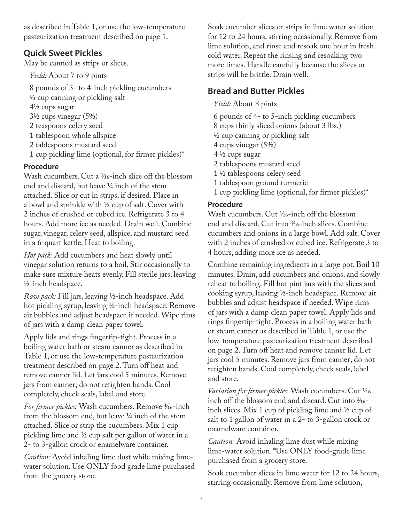as described in Table 1, or use the low-temperature pasteurization treatment described on page 1.

### **Quick Sweet Pickles**

May be canned as strips or slices.

*Yield:* About 7 to 9 pints

8 pounds of 3- to 4-inch pickling cucumbers

- 1/3 cup canning or pickling salt
- 41/2 cups sugar
- $3\frac{1}{2}$  cups vinegar (5%)
- 2 teaspoons celery seed
- 1 tablespoon whole allspice
- 2 tablespoons mustard seed
- 1 cup pickling lime (optional, for firmer pickles)\*

### **Procedure**

Wash cucumbers. Cut a 1/16-inch slice off the blossom end and discard, but leave 1/4 inch of the stem attached. Slice or cut in strips, if desired. Place in a bowl and sprinkle with 1/3 cup of salt. Cover with 2 inches of crushed or cubed ice. Refrigerate 3 to 4 hours. Add more ice as needed. Drain well. Combine sugar, vinegar, celery seed, allspice, and mustard seed in a 6-quart kettle. Heat to boiling.

*Hot pack:* Add cucumbers and heat slowly until vinegar solution returns to a boil. Stir occasionally to make sure mixture heats evenly. Fill sterile jars, leaving 1/2-inch headspace.

*Raw pack:* Fill jars, leaving ½-inch headspace. Add hot pickling syrup, leaving 1/2-inch headspace. Remove air bubbles and adjust headspace if needed. Wipe rims of jars with a damp clean paper towel.

Apply lids and rings fingertip-tight. Process in a boiling water bath or steam canner as described in Table 1, or use the low-temperature pasteurization treatment described on page 2. Turn off heat and remove canner lid. Let jars cool 5 minutes. Remove jars from canner; do not retighten bands. Cool completely, check seals, label and store.

For firmer pickles: Wash cucumbers. Remove 1/16-inch from the blossom end, but leave 1/4 inch of the stem attached. Slice or strip the cucumbers. Mix 1 cup pickling lime and 1/2 cup salt per gallon of water in a 2- to 3-gallon crock or enamelware container.

*Caution:* Avoid inhaling lime dust while mixing limewater solution. Use ONLY food grade lime purchased from the grocery store.

Soak cucumber slices or strips in lime water solution for 12 to 24 hours, stirring occasionally. Remove from lime solution, and rinse and resoak one hour in fresh cold water. Repeat the rinsing and resoaking two more times. Handle carefully because the slices or strips will be brittle. Drain well.

# **Bread and Butter Pickles**

### *Yield:* About 8 pints

- 6 pounds of 4- to 5-inch pickling cucumbers
- 8 cups thinly sliced onions (about 3 lbs.)
- $\frac{1}{2}$  cup canning or pickling salt
- 4 cups vinegar (5%)
- $4\frac{1}{2}$  cups sugar
- 2 tablespoons mustard seed
- 1 1/2 tablespoons celery seed
- 1 tablespoon ground turmeric
- 1 cup pickling lime (optional, for firmer pickles)\*

### **Procedure**

Wash cucumbers. Cut 1/16-inch off the blossom end and discard. Cut into 3/16-inch slices. Combine cucumbers and onions in a large bowl. Add salt. Cover with 2 inches of crushed or cubed ice. Refrigerate 3 to 4 hours, adding more ice as needed.

Combine remaining ingredients in a large pot. Boil 10 minutes. Drain, add cucumbers and onions, and slowly reheat to boiling. Fill hot pint jars with the slices and cooking syrup, leaving 1/2-inch headspace. Remove air bubbles and adjust headspace if needed. Wipe rims of jars with a damp clean paper towel. Apply lids and rings fingertip-tight. Process in a boiling water bath or steam canner as described in Table 1, or use the low-temperature pasteurization treatment described on page 2. Turn off heat and remove canner lid. Let jars cool 5 minutes. Remove jars from canner; do not retighten bands. Cool completely, check seals, label and store.

Variation for firmer pickles: Wash cucumbers. Cut 1/16 inch off the blossom end and discard. Cut into 3/16 inch slices. Mix 1 cup of pickling lime and  $\frac{1}{2}$  cup of salt to 1 gallon of water in a 2- to 3-gallon crock or enamelware container.

*Caution:* Avoid inhaling lime dust while mixing lime-water solution. \*Use ONLY food-grade lime purchased from a grocery store.

Soak cucumber slices in lime water for 12 to 24 hours, stirring occasionally. Remove from lime solution,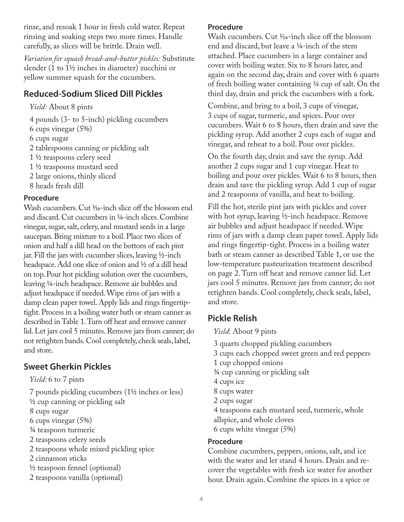rinse, and resoak 1 hour in fresh cold water. Repeat rinsing and soaking steps two more times. Handle carefully, as slices will be brittle. Drain well.

*Variation for squash bread-and-butter pickles:* Substitute slender (1 to  $1\frac{1}{2}$  inches in diameter) zucchini or yellow summer squash for the cucumbers.

## **Reduced-Sodium Sliced Dill Pickles**

*Yield:* About 8 pints

4 pounds (3- to 5-inch) pickling cucumbers 6 cups vinegar (5%) 6 cups sugar 2 tablespoons canning or pickling salt 1 1/2 teaspoons celery seed 1 1/2 teaspoons mustard seed 2 large onions, thinly sliced 8 heads fresh dill

### **Procedure**

Wash cucumbers. Cut <sup>1</sup>/16-inch slice off the blossom end and discard. Cut cucumbers in 1/4-inch slices. Combine vinegar, sugar, salt, celery, and mustard seeds in a large saucepan. Bring mixture to a boil. Place two slices of onion and half a dill head on the bottom of each pint jar. Fill the jars with cucumber slices, leaving 1/2-inch headspace. Add one slice of onion and <sup>1</sup>/2 of a dill head on top. Pour hot pickling solution over the cucumbers, leaving 1/4-inch headspace. Remove air bubbles and adjust headspace if needed. Wipe rims of jars with a damp clean paper towel. Apply lids and rings fingertiptight. Process in a boiling water bath or steam canner as described in Table 1. Turn off heat and remove canner lid. Let jars cool 5 minutes. Remove jars from canner; do not retighten bands. Cool completely, check seals, label, and store.

## **Sweet Gherkin Pickles**

*Yield:* 6 to 7 pints

7 pounds pickling cucumbers (11/2 inches or less) 1/2 cup canning or pickling salt 8 cups sugar 6 cups vinegar (5%) 3/4 teaspoon turmeric 2 teaspoons celery seeds 2 teaspoons whole mixed pickling spice 2 cinnamon sticks  $\frac{1}{2}$  teaspoon fennel (optional) 2 teaspoons vanilla (optional)

#### **Procedure**

Wash cucumbers. Cut 1/16-inch slice off the blossom end and discard, but leave a 1/4-inch of the stem attached. Place cucumbers in a large container and cover with boiling water. Six to 8 hours later, and again on the second day, drain and cover with 6 quarts of fresh boiling water containing 1/4 cup of salt. On the third day, drain and prick the cucumbers with a fork.

Combine, and bring to a boil, 3 cups of vinegar, 3 cups of sugar, turmeric, and spices. Pour over cucumbers. Wait 6 to 8 hours, then drain and save the pickling syrup. Add another 2 cups each of sugar and vinegar, and reheat to a boil. Pour over pickles.

On the fourth day, drain and save the syrup. Add another 2 cups sugar and 1 cup vinegar. Heat to boiling and pour over pickles. Wait 6 to 8 hours, then drain and save the pickling syrup. Add 1 cup of sugar and 2 teaspoons of vanilla, and heat to boiling.

Fill the hot, sterile pint jars with pickles and cover with hot syrup, leaving 1/2-inch headspace. Remove air bubbles and adjust headspace if needed. Wipe rims of jars with a damp clean paper towel. Apply lids and rings fingertip-tight. Process in a boiling water bath or steam canner as described Table 1, or use the low-temperature pasteurization treatment described on page 2. Turn off heat and remove canner lid. Let jars cool 5 minutes. Remove jars from canner; do not retighten bands. Cool completely, check seals, label, and store.

# **Pickle Relish**

*Yield*: About 9 pints

- 3 quarts chopped pickling cucumbers
- 3 cups each chopped sweet green and red peppers
- 1 cup chopped onions
- 3/4 cup canning or pickling salt
- 4 cups ice
- 8 cups water
- 2 cups sugar
- 4 teaspoons each mustard seed, turmeric, whole allspice, and whole cloves
- 6 cups white vinegar (5%)

### **Procedure**

Combine cucumbers, peppers, onions, salt, and ice with the water and let stand 4 hours. Drain and recover the vegetables with fresh ice water for another hour. Drain again. Combine the spices in a spice or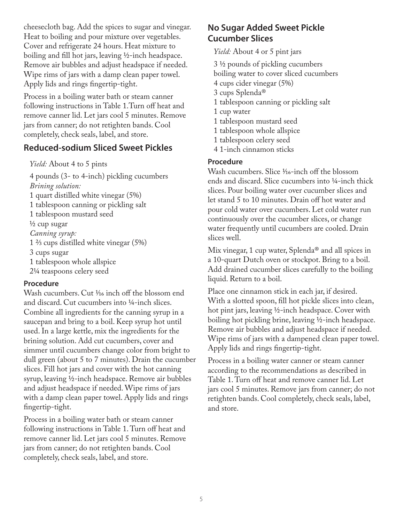cheesecloth bag. Add the spices to sugar and vinegar. Heat to boiling and pour mixture over vegetables. Cover and refrigerate 24 hours. Heat mixture to boiling and fill hot jars, leaving  $\frac{1}{2}$ -inch headspace. Remove air bubbles and adjust headspace if needed. Wipe rims of jars with a damp clean paper towel. Apply lids and rings fingertip-tight.

Process in a boiling water bath or steam canner following instructions in Table 1.Turn off heat and remove canner lid. Let jars cool 5 minutes. Remove jars from canner; do not retighten bands. Cool completely, check seals, label, and store.

## **Reduced-sodium Sliced Sweet Pickles**

*Yield:* About 4 to 5 pints

4 pounds (3- to 4-inch) pickling cucumbers *Brining solution:* 1 quart distilled white vinegar (5%) 1 tablespoon canning or pickling salt 1 tablespoon mustard seed <sup>1</sup>/<sub>2</sub> cup sugar *Canning syrup:* 1 ⅔ cups distilled white vinegar (5%) 3 cups sugar 1 tablespoon whole allspice 21/4 teaspoons celery seed

### **Procedure**

Wash cucumbers. Cut <sup>1/16</sup> inch off the blossom end and discard. Cut cucumbers into 1/4-inch slices. Combine all ingredients for the canning syrup in a saucepan and bring to a boil. Keep syrup hot until used. In a large kettle, mix the ingredients for the brining solution. Add cut cucumbers, cover and simmer until cucumbers change color from bright to dull green (about 5 to 7 minutes). Drain the cucumber slices. Fill hot jars and cover with the hot canning syrup, leaving 1/2-inch headspace. Remove air bubbles and adjust headspace if needed. Wipe rims of jars with a damp clean paper towel. Apply lids and rings fingertip-tight.

Process in a boiling water bath or steam canner following instructions in Table 1. Turn off heat and remove canner lid. Let jars cool 5 minutes. Remove jars from canner; do not retighten bands. Cool completely, check seals, label, and store.

# **No Sugar Added Sweet Pickle Cucumber Slices**

*Yield:* About 4 or 5 pint jars

3 ½ pounds of pickling cucumbers

boiling water to cover sliced cucumbers

- 4 cups cider vinegar (5%)
- 3 cups Splenda®
- 1 tablespoon canning or pickling salt
- 1 cup water
- 1 tablespoon mustard seed
- 1 tablespoon whole allspice
- 1 tablespoon celery seed
- 4 1-inch cinnamon sticks

### **Procedure**

Wash cucumbers. Slice 1/16-inch off the blossom ends and discard. Slice cucumbers into ¼-inch thick slices. Pour boiling water over cucumber slices and let stand 5 to 10 minutes. Drain off hot water and pour cold water over cucumbers. Let cold water run continuously over the cucumber slices, or change water frequently until cucumbers are cooled. Drain slices well.

Mix vinegar, 1 cup water, Splenda® and all spices in a 10-quart Dutch oven or stockpot. Bring to a boil. Add drained cucumber slices carefully to the boiling liquid. Return to a boil.

Place one cinnamon stick in each jar, if desired. With a slotted spoon, fill hot pickle slices into clean, hot pint jars, leaving ½-inch headspace. Cover with boiling hot pickling brine, leaving ½-inch headspace. Remove air bubbles and adjust headspace if needed. Wipe rims of jars with a dampened clean paper towel. Apply lids and rings fingertip-tight.

Process in a boiling water canner or steam canner according to the recommendations as described in Table 1. Turn off heat and remove canner lid. Let jars cool 5 minutes. Remove jars from canner; do not retighten bands. Cool completely, check seals, label, and store.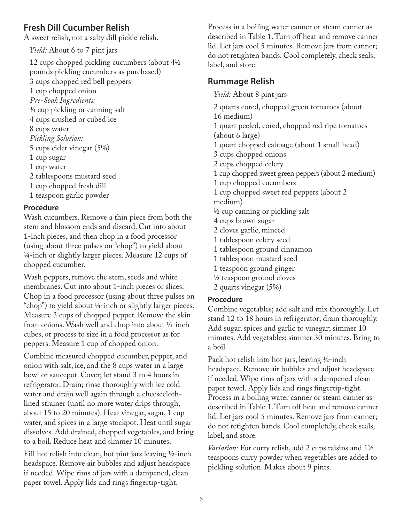# **Fresh Dill Cucumber Relish**

A sweet relish, not a salty dill pickle relish.

*Yield:* About 6 to 7 pint jars

12 cups chopped pickling cucumbers (about 4½ pounds pickling cucumbers as purchased) 3 cups chopped red bell peppers 1 cup chopped onion *Pre-Soak Ingredients:* ¾ cup pickling or canning salt 4 cups crushed or cubed ice 8 cups water *Pickling Solution:* 5 cups cider vinegar (5%) 1 cup sugar 1 cup water 2 tablespoons mustard seed 1 cup chopped fresh dill 1 teaspoon garlic powder

### **Procedure**

Wash cucumbers. Remove a thin piece from both the stem and blossom ends and discard. Cut into about 1-inch pieces, and then chop in a food processor (using about three pulses on "chop") to yield about ¼-inch or slightly larger pieces. Measure 12 cups of chopped cucumber.

Wash peppers, remove the stem, seeds and white membranes. Cut into about 1-inch pieces or slices. Chop in a food processor (using about three pulses on "chop") to yield about ¼-inch or slightly larger pieces. Measure 3 cups of chopped pepper. Remove the skin from onions. Wash well and chop into about ¼-inch cubes, or process to size in a food processor as for peppers. Measure 1 cup of chopped onion.

Combine measured chopped cucumber, pepper, and onion with salt, ice, and the 8 cups water in a large bowl or saucepot. Cover; let stand 3 to 4 hours in refrigerator. Drain; rinse thoroughly with ice cold water and drain well again through a cheeseclothlined strainer (until no more water drips through, about 15 to 20 minutes). Heat vinegar, sugar, 1 cup water, and spices in a large stockpot. Heat until sugar dissolves. Add drained, chopped vegetables, and bring to a boil. Reduce heat and simmer 10 minutes.

Fill hot relish into clean, hot pint jars leaving ½-inch headspace. Remove air bubbles and adjust headspace if needed. Wipe rims of jars with a dampened, clean paper towel. Apply lids and rings fingertip-tight.

Process in a boiling water canner or steam canner as described in Table 1. Turn off heat and remove canner lid. Let jars cool 5 minutes. Remove jars from canner; do not retighten bands. Cool completely, check seals, label, and store.

# **Rummage Relish**

*Yield:* About 8 pint jars

2 quarts cored, chopped green tomatoes (about 16 medium)

1 quart peeled, cored, chopped red ripe tomatoes (about 6 large)

1 quart chopped cabbage (about 1 small head)

3 cups chopped onions

2 cups chopped celery

1 cup chopped sweet green peppers (about 2 medium)

1 cup chopped cucumbers

1 cup chopped sweet red peppers (about 2 medium)

½ cup canning or pickling salt

4 cups brown sugar

- 2 cloves garlic, minced
- 1 tablespoon celery seed
- 1 tablespoon ground cinnamon
- 1 tablespoon mustard seed
- 1 teaspoon ground ginger
- ½ teaspoon ground cloves
- 2 quarts vinegar (5%)

### **Procedure**

Combine vegetables; add salt and mix thoroughly. Let stand 12 to 18 hours in refrigerator; drain thoroughly. Add sugar, spices and garlic to vinegar; simmer 10 minutes. Add vegetables; simmer 30 minutes. Bring to a boil.

Pack hot relish into hot jars, leaving ½-inch headspace. Remove air bubbles and adjust headspace if needed. Wipe rims of jars with a dampened clean paper towel. Apply lids and rings fingertip-tight. Process in a boiling water canner or steam canner as described in Table 1. Turn off heat and remove canner lid. Let jars cool 5 minutes. Remove jars from canner; do not retighten bands. Cool completely, check seals, label, and store.

*Variation:* For curry relish, add 2 cups raisins and 1½ teaspoons curry powder when vegetables are added to pickling solution. Makes about 9 pints.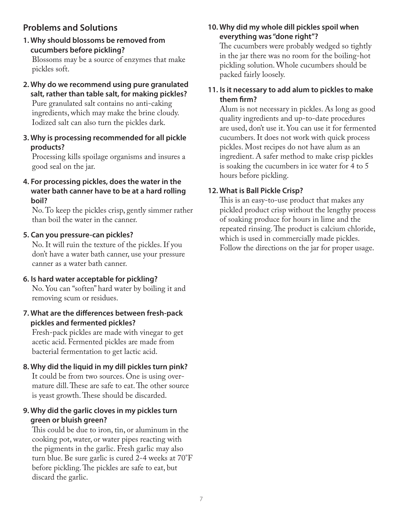# **Problems and Solutions**

**1. Why should blossoms be removed from cucumbers before pickling?**

Blossoms may be a source of enzymes that make pickles soft.

- **2. Why do we recommend using pure granulated salt, rather than table salt, for making pickles?** Pure granulated salt contains no anti-caking ingredients, which may make the brine cloudy. Iodized salt can also turn the pickles dark.
- **3. Why is processing recommended for all pickle products?**

Processing kills spoilage organisms and insures a good seal on the jar.

**4. For processing pickles, does the water in the water bath canner have to be at a hard rolling boil?**

No. To keep the pickles crisp, gently simmer rather than boil the water in the canner.

#### **5. Can you pressure-can pickles?**

No. It will ruin the texture of the pickles. If you don't have a water bath canner, use your pressure canner as a water bath canner.

#### **6. Is hard water acceptable for pickling?**

No. You can "soften" hard water by boiling it and removing scum or residues.

#### **7. What are the differences between fresh-pack pickles and fermented pickles?**

Fresh-pack pickles are made with vinegar to get acetic acid. Fermented pickles are made from bacterial fermentation to get lactic acid.

### **8. Why did the liquid in my dill pickles turn pink?**

It could be from two sources. One is using overmature dill. These are safe to eat. The other source is yeast growth. These should be discarded.

#### **9. Why did the garlic cloves in my pickles turn green or bluish green?**

This could be due to iron, tin, or aluminum in the cooking pot, water, or water pipes reacting with the pigments in the garlic. Fresh garlic may also turn blue. Be sure garlic is cured 2-4 weeks at 70°F before pickling. The pickles are safe to eat, but discard the garlic.

#### **10. Why did my whole dill pickles spoil when everything was "done right"?**

The cucumbers were probably wedged so tightly in the jar there was no room for the boiling-hot pickling solution. Whole cucumbers should be packed fairly loosely.

#### **11. Is it necessary to add alum to pickles to make them firm?**

Alum is not necessary in pickles. As long as good quality ingredients and up-to-date procedures are used, don't use it. You can use it for fermented cucumbers. It does not work with quick process pickles. Most recipes do not have alum as an ingredient. A safer method to make crisp pickles is soaking the cucumbers in ice water for 4 to 5 hours before pickling.

#### **12. What is Ball Pickle Crisp?**

This is an easy-to-use product that makes any pickled product crisp without the lengthy process of soaking produce for hours in lime and the repeated rinsing. The product is calcium chloride, which is used in commercially made pickles. Follow the directions on the jar for proper usage.